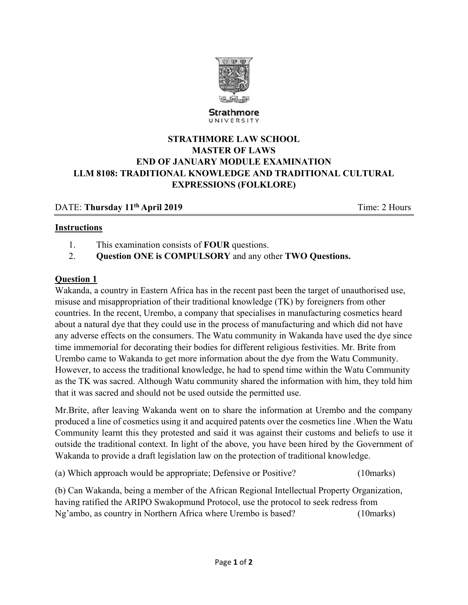

Strathmore UNIVERSITY

# **STRATHMORE LAW SCHOOL MASTER OF LAWS END OF JANUARY MODULE EXAMINATION LLM 8108: TRADITIONAL KNOWLEDGE AND TRADITIONAL CULTURAL EXPRESSIONS (FOLKLORE)**

## DATE: **Thursday 11<sup>th</sup> April 2019 Time: 2 Hours**

#### **Instructions**

- 1. This examination consists of **FOUR** questions.
- 2. **Question ONE is COMPULSORY** and any other **TWO Questions.**

### **Question 1**

Wakanda, a country in Eastern Africa has in the recent past been the target of unauthorised use, misuse and misappropriation of their traditional knowledge (TK) by foreigners from other countries. In the recent, Urembo, a company that specialises in manufacturing cosmetics heard about a natural dye that they could use in the process of manufacturing and which did not have any adverse effects on the consumers. The Watu community in Wakanda have used the dye since time immemorial for decorating their bodies for different religious festivities. Mr. Brite from Urembo came to Wakanda to get more information about the dye from the Watu Community. However, to access the traditional knowledge, he had to spend time within the Watu Community as the TK was sacred. Although Watu community shared the information with him, they told him that it was sacred and should not be used outside the permitted use.

Mr.Brite, after leaving Wakanda went on to share the information at Urembo and the company produced a line of cosmetics using it and acquired patents over the cosmetics line .When the Watu Community learnt this they protested and said it was against their customs and beliefs to use it outside the traditional context. In light of the above, you have been hired by the Government of Wakanda to provide a draft legislation law on the protection of traditional knowledge.

(a) Which approach would be appropriate; Defensive or Positive? (10marks)

(b) Can Wakanda, being a member of the African Regional Intellectual Property Organization, having ratified the ARIPO Swakopmund Protocol, use the protocol to seek redress from Ng'ambo, as country in Northern Africa where Urembo is based? (10marks)